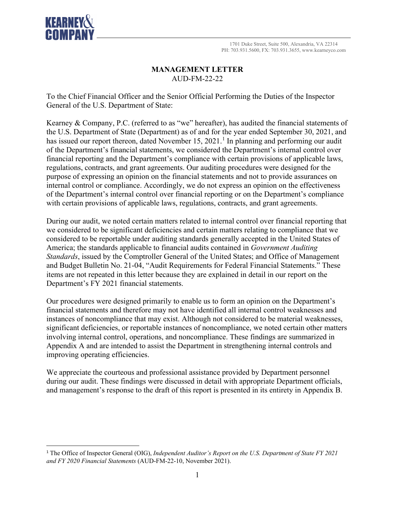

## **MANAGEMENT LETTER** AUD-FM-22-22

To the Chief Financial Officer and the Senior Official Performing the Duties of the Inspector General of the U.S. Department of State:

Kearney & Company, P.C. (referred to as "we" hereafter), has audited the financial statements of the U.S. Department of State (Department) as of and for the year ended September 30, 2021, and has issued our report thereon, dated November [1](#page-0-0)5, 2021.<sup>1</sup> In planning and performing our audit of the Department's financial statements, we considered the Department's internal control over financial reporting and the Department's compliance with certain provisions of applicable laws, regulations, contracts, and grant agreements. Our auditing procedures were designed for the purpose of expressing an opinion on the financial statements and not to provide assurances on internal control or compliance. Accordingly, we do not express an opinion on the effectiveness of the Department's internal control over financial reporting or on the Department's compliance with certain provisions of applicable laws, regulations, contracts, and grant agreements.

During our audit, we noted certain matters related to internal control over financial reporting that we considered to be significant deficiencies and certain matters relating to compliance that we considered to be reportable under auditing standards generally accepted in the United States of America; the standards applicable to financial audits contained in *Government Auditing Standards*, issued by the Comptroller General of the United States; and Office of Management and Budget Bulletin No. 21-04, "Audit Requirements for Federal Financial Statements." These items are not repeated in this letter because they are explained in detail in our report on the Department's FY 2021 financial statements.

Our procedures were designed primarily to enable us to form an opinion on the Department's financial statements and therefore may not have identified all internal control weaknesses and instances of noncompliance that may exist. Although not considered to be material weaknesses, significant deficiencies, or reportable instances of noncompliance, we noted certain other matters involving internal control, operations, and noncompliance. These findings are summarized in Appendix A and are intended to assist the Department in strengthening internal controls and improving operating efficiencies.

We appreciate the courteous and professional assistance provided by Department personnel during our audit. These findings were discussed in detail with appropriate Department officials, and management's response to the draft of this report is presented in its entirety in Appendix B.

<span id="page-0-0"></span><sup>1</sup> The Office of Inspector General (OIG), *Independent Auditor's Report on the U.S. Department of State FY 2021 and FY 2020 Financial Statements* (AUD-FM-22-10, November 2021).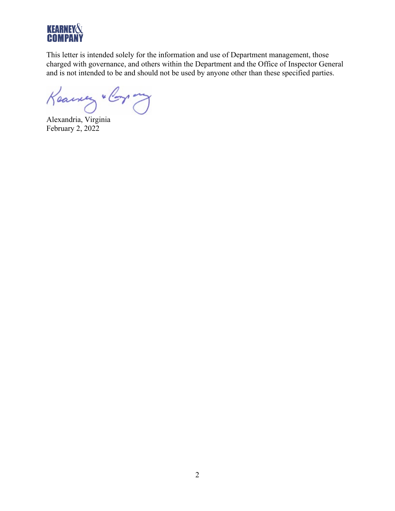

This letter is intended solely for the information and use of Department management, those charged with governance, and others within the Department and the Office of Inspector General and is not intended to be and should not be used by anyone other than these specified parties.

Keawery " Corp ony

Alexandria, Virginia February 2, 2022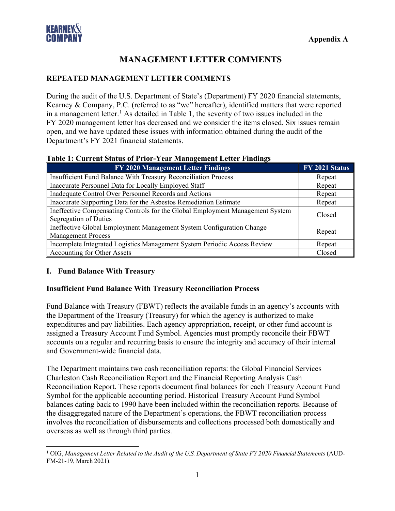

# **MANAGEMENT LETTER COMMENTS**

#### **REPEATED MANAGEMENT LETTER COMMENTS**

During the audit of the U.S. Department of State's (Department) FY 2020 financial statements, Kearney & Company, P.C. (referred to as "we" hereafter), identified matters that were reported in a management letter. [1](#page-2-0) As detailed in Table 1, the severity of two issues included in the FY 2020 management letter has decreased and we consider the items closed. Six issues remain open, and we have updated these issues with information obtained during the audit of the Department's FY 2021 financial statements.

| <b>FY 2020 Management Letter Findings</b>                                                              | FY 2021 Status |
|--------------------------------------------------------------------------------------------------------|----------------|
| Insufficient Fund Balance With Treasury Reconciliation Process                                         | Repeat         |
| Inaccurate Personnel Data for Locally Employed Staff                                                   | Repeat         |
| Inadequate Control Over Personnel Records and Actions                                                  | Repeat         |
| Inaccurate Supporting Data for the Asbestos Remediation Estimate                                       | Repeat         |
| Ineffective Compensating Controls for the Global Employment Management System<br>Segregation of Duties | Closed         |
| Ineffective Global Employment Management System Configuration Change<br><b>Management Process</b>      | Repeat         |
| Incomplete Integrated Logistics Management System Periodic Access Review                               | Repeat         |
| Accounting for Other Assets                                                                            | Closed         |

## **Table 1: Current Status of Prior-Year Management Letter Findings**

#### **I. Fund Balance With Treasury**

#### **Insufficient Fund Balance With Treasury Reconciliation Process**

Fund Balance with Treasury (FBWT) reflects the available funds in an agency's accounts with the Department of the Treasury (Treasury) for which the agency is authorized to make expenditures and pay liabilities. Each agency appropriation, receipt, or other fund account is assigned a Treasury Account Fund Symbol. Agencies must promptly reconcile their FBWT accounts on a regular and recurring basis to ensure the integrity and accuracy of their internal and Government-wide financial data.

The Department maintains two cash reconciliation reports: the Global Financial Services – Charleston Cash Reconciliation Report and the Financial Reporting Analysis Cash Reconciliation Report. These reports document final balances for each Treasury Account Fund Symbol for the applicable accounting period. Historical Treasury Account Fund Symbol balances dating back to 1990 have been included within the reconciliation reports. Because of the disaggregated nature of the Department's operations, the FBWT reconciliation process involves the reconciliation of disbursements and collections processed both domestically and overseas as well as through third parties.

<span id="page-2-0"></span><sup>1</sup> OIG, *Management Letter Related to the Audit of the U.S. Department of State FY 2020 Financial Statements* (AUD-FM-21-19, March 2021).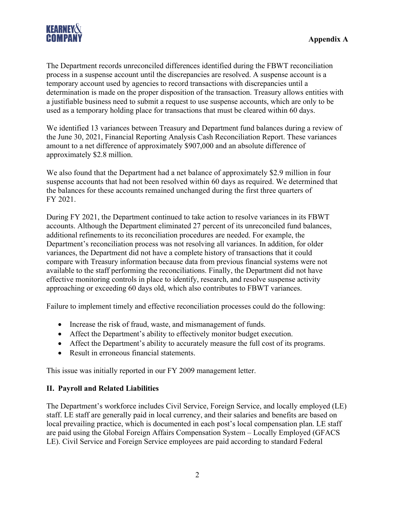

The Department records unreconciled differences identified during the FBWT reconciliation process in a suspense account until the discrepancies are resolved. A suspense account is a temporary account used by agencies to record transactions with discrepancies until a determination is made on the proper disposition of the transaction. Treasury allows entities with a justifiable business need to submit a request to use suspense accounts, which are only to be used as a temporary holding place for transactions that must be cleared within 60 days.

We identified 13 variances between Treasury and Department fund balances during a review of the June 30, 2021, Financial Reporting Analysis Cash Reconciliation Report. These variances amount to a net difference of approximately \$907,000 and an absolute difference of approximately \$2.8 million.

We also found that the Department had a net balance of approximately \$2.9 million in four suspense accounts that had not been resolved within 60 days as required. We determined that the balances for these accounts remained unchanged during the first three quarters of FY 2021.

During FY 2021, the Department continued to take action to resolve variances in its FBWT accounts. Although the Department eliminated 27 percent of its unreconciled fund balances, additional refinements to its reconciliation procedures are needed. For example, the Department's reconciliation process was not resolving all variances. In addition, for older variances, the Department did not have a complete history of transactions that it could compare with Treasury information because data from previous financial systems were not available to the staff performing the reconciliations. Finally, the Department did not have effective monitoring controls in place to identify, research, and resolve suspense activity approaching or exceeding 60 days old, which also contributes to FBWT variances.

Failure to implement timely and effective reconciliation processes could do the following:

- Increase the risk of fraud, waste, and mismanagement of funds.
- Affect the Department's ability to effectively monitor budget execution.
- Affect the Department's ability to accurately measure the full cost of its programs.
- Result in erroneous financial statements.

This issue was initially reported in our FY 2009 management letter.

## **II. Payroll and Related Liabilities**

The Department's workforce includes Civil Service, Foreign Service, and locally employed (LE) staff. LE staff are generally paid in local currency, and their salaries and benefits are based on local prevailing practice, which is documented in each post's local compensation plan. LE staff are paid using the Global Foreign Affairs Compensation System – Locally Employed (GFACS LE). Civil Service and Foreign Service employees are paid according to standard Federal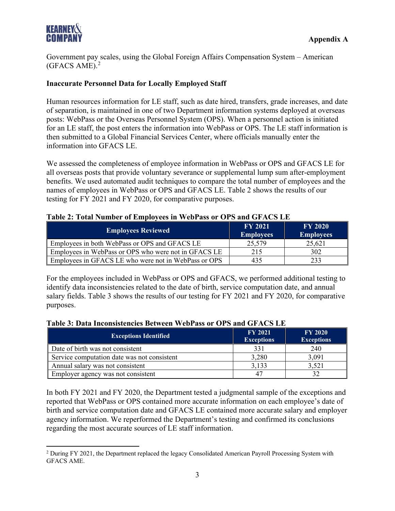

Government pay scales, using the Global Foreign Affairs Compensation System – American (GFACS AME). [2](#page-4-0)

#### **Inaccurate Personnel Data for Locally Employed Staff**

Human resources information for LE staff, such as date hired, transfers, grade increases, and date of separation, is maintained in one of two Department information systems deployed at overseas posts: WebPass or the Overseas Personnel System (OPS). When a personnel action is initiated for an LE staff, the post enters the information into WebPass or OPS. The LE staff information is then submitted to a Global Financial Services Center, where officials manually enter the information into GFACS LE.

We assessed the completeness of employee information in WebPass or OPS and GFACS LE for all overseas posts that provide voluntary severance or supplemental lump sum after-employment benefits. We used automated audit techniques to compare the total number of employees and the names of employees in WebPass or OPS and GFACS LE. Table 2 shows the results of our testing for FY 2021 and FY 2020, for comparative purposes.

#### **Table 2: Total Number of Employees in WebPass or OPS and GFACS LE**

| <b>Employees Reviewed</b>                            | <b>FY 2021</b><br><b>Employees</b> | <b>FY 2020</b><br><b>Employees</b> |
|------------------------------------------------------|------------------------------------|------------------------------------|
| Employees in both WebPass or OPS and GFACS LE        | 25,579                             | 25,621                             |
| Employees in WebPass or OPS who were not in GFACS LE | 215                                | 302                                |
| Employees in GFACS LE who were not in WebPass or OPS | 435                                | 233                                |

For the employees included in WebPass or OPS and GFACS, we performed additional testing to identify data inconsistencies related to the date of birth, service computation date, and annual salary fields. Table 3 shows the results of our testing for FY 2021 and FY 2020, for comparative purposes.

#### **Table 3: Data Inconsistencies Between WebPass or OPS and GFACS LE**

| <b>Exceptions Identified</b>                | <b>FY 2021</b><br><b>Exceptions</b> | <b>FY 2020</b><br><b>Exceptions</b> |
|---------------------------------------------|-------------------------------------|-------------------------------------|
| Date of birth was not consistent            | 331                                 | 240                                 |
| Service computation date was not consistent | 3,280                               | 3,091                               |
| Annual salary was not consistent            | 3,133                               | 3,521                               |
| Employer agency was not consistent          | 4 <sup>7</sup>                      |                                     |

In both FY 2021 and FY 2020, the Department tested a judgmental sample of the exceptions and reported that WebPass or OPS contained more accurate information on each employee's date of birth and service computation date and GFACS LE contained more accurate salary and employer agency information. We reperformed the Department's testing and confirmed its conclusions regarding the most accurate sources of LE staff information.

<span id="page-4-0"></span><sup>&</sup>lt;sup>2</sup> During FY 2021, the Department replaced the legacy Consolidated American Payroll Processing System with GFACS AME.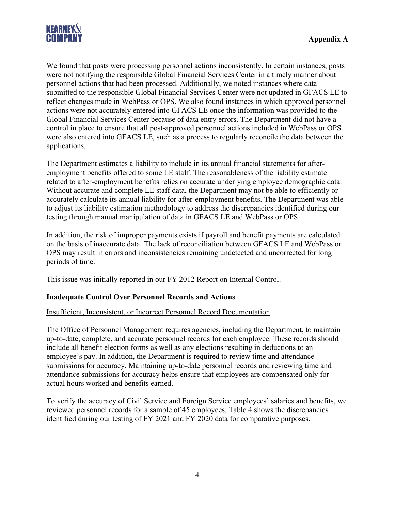

We found that posts were processing personnel actions inconsistently. In certain instances, posts were not notifying the responsible Global Financial Services Center in a timely manner about personnel actions that had been processed. Additionally, we noted instances where data submitted to the responsible Global Financial Services Center were not updated in GFACS LE to reflect changes made in WebPass or OPS. We also found instances in which approved personnel actions were not accurately entered into GFACS LE once the information was provided to the Global Financial Services Center because of data entry errors. The Department did not have a control in place to ensure that all post-approved personnel actions included in WebPass or OPS were also entered into GFACS LE, such as a process to regularly reconcile the data between the applications.

The Department estimates a liability to include in its annual financial statements for afteremployment benefits offered to some LE staff. The reasonableness of the liability estimate related to after-employment benefits relies on accurate underlying employee demographic data. Without accurate and complete LE staff data, the Department may not be able to efficiently or accurately calculate its annual liability for after-employment benefits. The Department was able to adjust its liability estimation methodology to address the discrepancies identified during our testing through manual manipulation of data in GFACS LE and WebPass or OPS.

In addition, the risk of improper payments exists if payroll and benefit payments are calculated on the basis of inaccurate data. The lack of reconciliation between GFACS LE and WebPass or OPS may result in errors and inconsistencies remaining undetected and uncorrected for long periods of time.

This issue was initially reported in our FY 2012 Report on Internal Control.

## **Inadequate Control Over Personnel Records and Actions**

## Insufficient, Inconsistent, or Incorrect Personnel Record Documentation

The Office of Personnel Management requires agencies, including the Department, to maintain up-to-date, complete, and accurate personnel records for each employee. These records should include all benefit election forms as well as any elections resulting in deductions to an employee's pay. In addition, the Department is required to review time and attendance submissions for accuracy. Maintaining up-to-date personnel records and reviewing time and attendance submissions for accuracy helps ensure that employees are compensated only for actual hours worked and benefits earned.

To verify the accuracy of Civil Service and Foreign Service employees' salaries and benefits, we reviewed personnel records for a sample of 45 employees. Table 4 shows the discrepancies identified during our testing of FY 2021 and FY 2020 data for comparative purposes.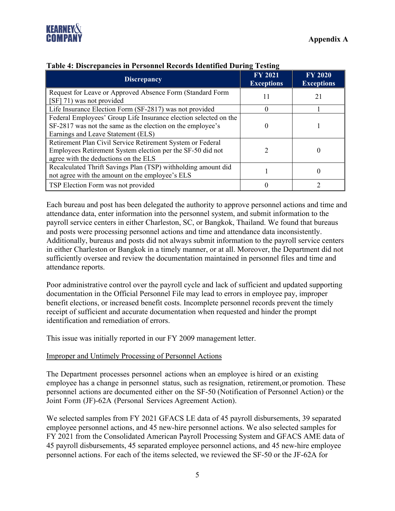

| <b>Discrepancy</b>                                                                                                                                                   | <b>FY 2021</b><br><b>Exceptions</b> | <b>FY 2020</b><br><b>Exceptions</b> |
|----------------------------------------------------------------------------------------------------------------------------------------------------------------------|-------------------------------------|-------------------------------------|
| Request for Leave or Approved Absence Form (Standard Form<br>[SF] 71) was not provided                                                                               | 11                                  | 21                                  |
| Life Insurance Election Form (SF-2817) was not provided                                                                                                              |                                     |                                     |
| Federal Employees' Group Life Insurance election selected on the<br>SF-2817 was not the same as the election on the employee's<br>Earnings and Leave Statement (ELS) |                                     |                                     |
| Retirement Plan Civil Service Retirement System or Federal<br>Employees Retirement System election per the SF-50 did not<br>agree with the deductions on the ELS     |                                     | 0                                   |
| Recalculated Thrift Savings Plan (TSP) withholding amount did<br>not agree with the amount on the employee's ELS                                                     |                                     | 0                                   |
| TSP Election Form was not provided                                                                                                                                   |                                     |                                     |

#### **Table 4: Discrepancies in Personnel Records Identified During Testing**

Each bureau and post has been delegated the authority to approve personnel actions and time and attendance data, enter information into the personnel system, and submit information to the payroll service centers in either Charleston, SC, or Bangkok, Thailand. We found that bureaus and posts were processing personnel actions and time and attendance data inconsistently. Additionally, bureaus and posts did not always submit information to the payroll service centers in either Charleston or Bangkok in a timely manner, or at all. Moreover, the Department did not sufficiently oversee and review the documentation maintained in personnel files and time and attendance reports.

Poor administrative control over the payroll cycle and lack of sufficient and updated supporting documentation in the Official Personnel File may lead to errors in employee pay, improper benefit elections, or increased benefit costs. Incomplete personnel records prevent the timely receipt of sufficient and accurate documentation when requested and hinder the prompt identification and remediation of errors.

This issue was initially reported in our FY 2009 management letter.

#### Improper and Untimely Processing of Personnel Actions

The Department processes personnel actions when an employee is hired or an existing employee has a change in personnel status, such as resignation, retirement,or promotion. These personnel actions are documented either on the SF-50 (Notification of Personnel Action) or the Joint Form (JF)-62A (Personal Services Agreement Action).

We selected samples from FY 2021 GFACS LE data of 45 payroll disbursements, 39 separated employee personnel actions, and 45 new-hire personnel actions. We also selected samples for FY 2021 from the Consolidated American Payroll Processing System and GFACS AME data of 45 payroll disbursements, 45 separated employee personnel actions, and 45 new-hire employee personnel actions. For each of the items selected, we reviewed the SF-50 or the JF-62A for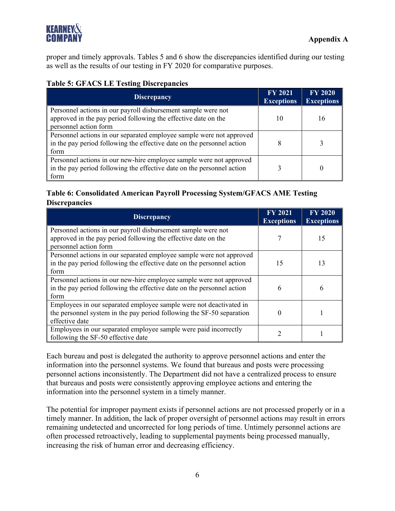proper and timely approvals. Tables 5 and 6 show the discrepancies identified during our testing as well as the results of our testing in FY 2020 for comparative purposes.

# **Table 5: GFACS LE Testing Discrepancies**

| <b>Discrepancy</b>                                                                                                                                       | <b>FY 2021</b><br><b>Exceptions</b> | <b>FY 2020</b><br><b>Exceptions</b> |
|----------------------------------------------------------------------------------------------------------------------------------------------------------|-------------------------------------|-------------------------------------|
| Personnel actions in our payroll disbursement sample were not<br>approved in the pay period following the effective date on the<br>personnel action form | 10                                  | 16                                  |
| Personnel actions in our separated employee sample were not approved<br>in the pay period following the effective date on the personnel action<br>form   |                                     |                                     |
| Personnel actions in our new-hire employee sample were not approved<br>in the pay period following the effective date on the personnel action<br>form    |                                     |                                     |

# **Table 6: Consolidated American Payroll Processing System/GFACS AME Testing Discrepancies**

| <b>Discrepancy</b>                                                                                                                                            | <b>FY 2021</b><br><b>Exceptions</b> | <b>FY 2020</b><br><b>Exceptions</b> |
|---------------------------------------------------------------------------------------------------------------------------------------------------------------|-------------------------------------|-------------------------------------|
| Personnel actions in our payroll disbursement sample were not<br>approved in the pay period following the effective date on the<br>personnel action form      |                                     | 15                                  |
| Personnel actions in our separated employee sample were not approved<br>in the pay period following the effective date on the personnel action<br>form        | 15                                  | 13                                  |
| Personnel actions in our new-hire employee sample were not approved<br>in the pay period following the effective date on the personnel action<br>form         | 6                                   | 6                                   |
| Employees in our separated employee sample were not deactivated in<br>the personnel system in the pay period following the SF-50 separation<br>effective date |                                     |                                     |
| Employees in our separated employee sample were paid incorrectly<br>following the SF-50 effective date                                                        | 2                                   |                                     |

Each bureau and post is delegated the authority to approve personnel actions and enter the information into the personnel systems. We found that bureaus and posts were processing personnel actions inconsistently. The Department did not have a centralized process to ensure that bureaus and posts were consistently approving employee actions and entering the information into the personnel system in a timely manner.

The potential for improper payment exists if personnel actions are not processed properly or in a timely manner. In addition, the lack of proper oversight of personnel actions may result in errors remaining undetected and uncorrected for long periods of time. Untimely personnel actions are often processed retroactively, leading to supplemental payments being processed manually, increasing the risk of human error and decreasing efficiency.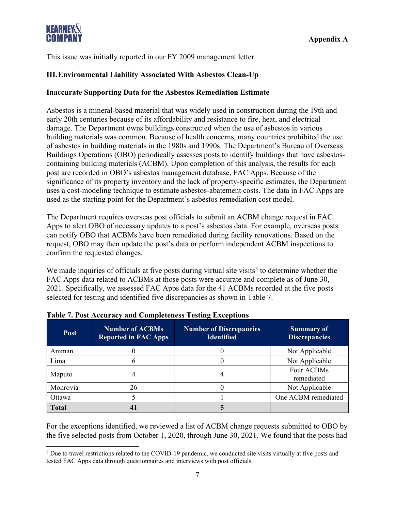

This issue was initially reported in our FY 2009 management letter.

## **III.Environmental Liability Associated With Asbestos Clean-Up**

#### **Inaccurate Supporting Data for the Asbestos Remediation Estimate**

Asbestos is a mineral-based material that was widely used in construction during the 19th and early 20th centuries because of its affordability and resistance to fire, heat, and electrical damage. The Department owns buildings constructed when the use of asbestos in various building materials was common. Because of health concerns, many countries prohibited the use of asbestos in building materials in the 1980s and 1990s. The Department's Bureau of Overseas Buildings Operations (OBO) periodically assesses posts to identify buildings that have asbestoscontaining building materials (ACBM). Upon completion of this analysis, the results for each post are recorded in OBO's asbestos management database, FAC Apps. Because of the significance of its property inventory and the lack of property-specific estimates, the Department uses a cost-modeling technique to estimate asbestos-abatement costs. The data in FAC Apps are used as the starting point for the Department's asbestos remediation cost model.

The Department requires overseas post officials to submit an ACBM change request in FAC Apps to alert OBO of necessary updates to a post's asbestos data. For example, overseas posts can notify OBO that ACBMs have been remediated during facility renovations. Based on the request, OBO may then update the post's data or perform independent ACBM inspections to confirm the requested changes.

We made inquiries of officials at five posts during virtual site visits<sup>[3](#page-8-0)</sup> to determine whether the FAC Apps data related to ACBMs at those posts were accurate and complete as of June 30, 2021. Specifically, we assessed FAC Apps data for the 41 ACBMs recorded at the five posts selected for testing and identified five discrepancies as shown in Table 7.

| <b>Post</b>  | <b>Number of ACBMs</b><br><b>Reported in FAC Apps</b> | <b>Number of Discrepancies</b><br><b>Identified</b> | <b>Summary of</b><br><b>Discrepancies</b> |
|--------------|-------------------------------------------------------|-----------------------------------------------------|-------------------------------------------|
| Amman        |                                                       |                                                     | Not Applicable                            |
| Lima         |                                                       |                                                     | Not Applicable                            |
| Maputo       |                                                       |                                                     | Four ACBMs<br>remediated                  |
| Monrovia     | 26                                                    |                                                     | Not Applicable                            |
| Ottawa       |                                                       |                                                     | One ACBM remediated                       |
| <b>Total</b> |                                                       |                                                     |                                           |

For the exceptions identified, we reviewed a list of ACBM change requests submitted to OBO by the five selected posts from October 1, 2020, through June 30, 2021. We found that the posts had

<span id="page-8-0"></span><sup>&</sup>lt;sup>3</sup> Due to travel restrictions related to the COVID-19 pandemic, we conducted site visits virtually at five posts and tested FAC Apps data through questionnaires and interviews with post officials.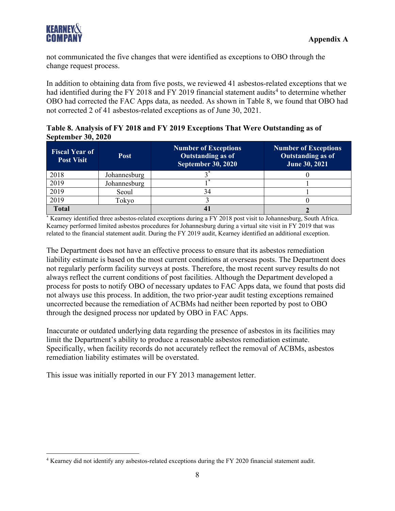

not communicated the five changes that were identified as exceptions to OBO through the change request process.

In addition to obtaining data from five posts, we reviewed 41 asbestos-related exceptions that we had identified during the FY 2018 and FY 2019 financial statement audits<sup>[4](#page-9-0)</sup> to determine whether OBO had corrected the FAC Apps data, as needed. As shown in Table 8, we found that OBO had not corrected 2 of 41 asbestos-related exceptions as of June 30, 2021.

**Table 8. Analysis of FY 2018 and FY 2019 Exceptions That Were Outstanding as of September 30, 2020**

| <b>Fiscal Year of</b><br><b>Post Visit</b> | <b>Post</b>  | <b>Number of Exceptions</b><br><b>Outstanding as of</b><br><b>September 30, 2020</b> | <b>Number of Exceptions</b><br>Outstanding as of<br>June 30, 2021 |
|--------------------------------------------|--------------|--------------------------------------------------------------------------------------|-------------------------------------------------------------------|
| 2018                                       | Johannesburg |                                                                                      |                                                                   |
| 2019                                       | Johannesburg |                                                                                      |                                                                   |
| 2019                                       | Seoul        | 34                                                                                   |                                                                   |
| 2019                                       | Tokyo        |                                                                                      |                                                                   |
| <b>Total</b>                               |              |                                                                                      |                                                                   |

\* Kearney identified three asbestos-related exceptions during a FY 2018 post visit to Johannesburg, South Africa. Kearney performed limited asbestos procedures for Johannesburg during a virtual site visit in FY 2019 that was related to the financial statement audit. During the FY 2019 audit, Kearney identified an additional exception.

The Department does not have an effective process to ensure that its asbestos remediation liability estimate is based on the most current conditions at overseas posts. The Department does not regularly perform facility surveys at posts. Therefore, the most recent survey results do not always reflect the current conditions of post facilities. Although the Department developed a process for posts to notify OBO of necessary updates to FAC Apps data, we found that posts did not always use this process. In addition, the two prior-year audit testing exceptions remained uncorrected because the remediation of ACBMs had neither been reported by post to OBO through the designed process nor updated by OBO in FAC Apps.

Inaccurate or outdated underlying data regarding the presence of asbestos in its facilities may limit the Department's ability to produce a reasonable asbestos remediation estimate. Specifically, when facility records do not accurately reflect the removal of ACBMs, asbestos remediation liability estimates will be overstated.

This issue was initially reported in our FY 2013 management letter.

<span id="page-9-0"></span><sup>4</sup> Kearney did not identify any asbestos-related exceptions during the FY 2020 financial statement audit.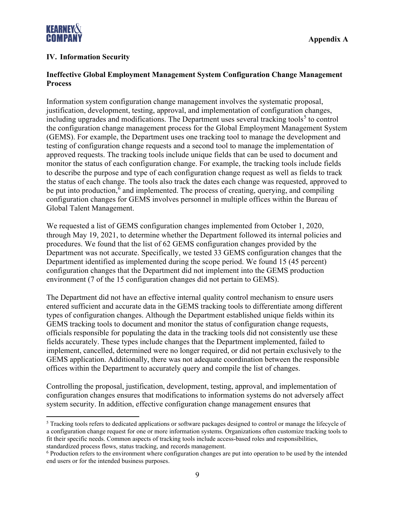

## **IV. Information Security**

## **Ineffective Global Employment Management System Configuration Change Management Process**

Information system configuration change management involves the systematic proposal, justification, development, testing, approval, and implementation of configuration changes, including upgrades and modifications. The Department uses several tracking tools<sup>[5](#page-10-0)</sup> to control the configuration change management process for the Global Employment Management System (GEMS). For example, the Department uses one tracking tool to manage the development and testing of configuration change requests and a second tool to manage the implementation of approved requests. The tracking tools include unique fields that can be used to document and monitor the status of each configuration change. For example, the tracking tools include fields to describe the purpose and type of each configuration change request as well as fields to track the status of each change. The tools also track the dates each change was requested, approved to be put into production, $6$  and implemented. The process of creating, querying, and compiling configuration changes for GEMS involves personnel in multiple offices within the Bureau of Global Talent Management.

We requested a list of GEMS configuration changes implemented from October 1, 2020, through May 19, 2021, to determine whether the Department followed its internal policies and procedures. We found that the list of 62 GEMS configuration changes provided by the Department was not accurate. Specifically, we tested 33 GEMS configuration changes that the Department identified as implemented during the scope period. We found 15 (45 percent) configuration changes that the Department did not implement into the GEMS production environment (7 of the 15 configuration changes did not pertain to GEMS).

The Department did not have an effective internal quality control mechanism to ensure users entered sufficient and accurate data in the GEMS tracking tools to differentiate among different types of configuration changes. Although the Department established unique fields within its GEMS tracking tools to document and monitor the status of configuration change requests, officials responsible for populating the data in the tracking tools did not consistently use these fields accurately. These types include changes that the Department implemented, failed to implement, cancelled, determined were no longer required, or did not pertain exclusively to the GEMS application. Additionally, there was not adequate coordination between the responsible offices within the Department to accurately query and compile the list of changes.

Controlling the proposal, justification, development, testing, approval, and implementation of configuration changes ensures that modifications to information systems do not adversely affect system security. In addition, effective configuration change management ensures that

<span id="page-10-0"></span><sup>&</sup>lt;sup>5</sup> Tracking tools refers to dedicated applications or software packages designed to control or manage the lifecycle of a configuration change request for one or more information systems. Organizations often customize tracking tools to fit their specific needs. Common aspects of tracking tools include access-based roles and responsibilities, standardized process flows, status tracking, and records management.

<span id="page-10-1"></span><sup>6</sup> Production refers to the environment where configuration changes are put into operation to be used by the intended end users or for the intended business purposes.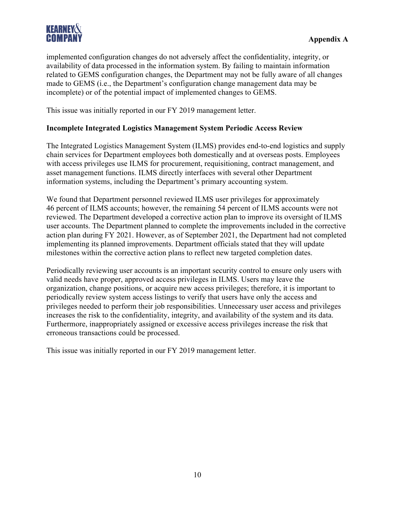

implemented configuration changes do not adversely affect the confidentiality, integrity, or availability of data processed in the information system. By failing to maintain information related to GEMS configuration changes, the Department may not be fully aware of all changes made to GEMS (i.e., the Department's configuration change management data may be incomplete) or of the potential impact of implemented changes to GEMS.

This issue was initially reported in our FY 2019 management letter.

## **Incomplete Integrated Logistics Management System Periodic Access Review**

The Integrated Logistics Management System (ILMS) provides end-to-end logistics and supply chain services for Department employees both domestically and at overseas posts. Employees with access privileges use ILMS for procurement, requisitioning, contract management, and asset management functions. ILMS directly interfaces with several other Department information systems, including the Department's primary accounting system.

We found that Department personnel reviewed ILMS user privileges for approximately 46 percent of ILMS accounts; however, the remaining 54 percent of ILMS accounts were not reviewed. The Department developed a corrective action plan to improve its oversight of ILMS user accounts. The Department planned to complete the improvements included in the corrective action plan during FY 2021. However, as of September 2021, the Department had not completed implementing its planned improvements. Department officials stated that they will update milestones within the corrective action plans to reflect new targeted completion dates.

Periodically reviewing user accounts is an important security control to ensure only users with valid needs have proper, approved access privileges in ILMS. Users may leave the organization, change positions, or acquire new access privileges; therefore, it is important to periodically review system access listings to verify that users have only the access and privileges needed to perform their job responsibilities. Unnecessary user access and privileges increases the risk to the confidentiality, integrity, and availability of the system and its data. Furthermore, inappropriately assigned or excessive access privileges increase the risk that erroneous transactions could be processed.

This issue was initially reported in our FY 2019 management letter.